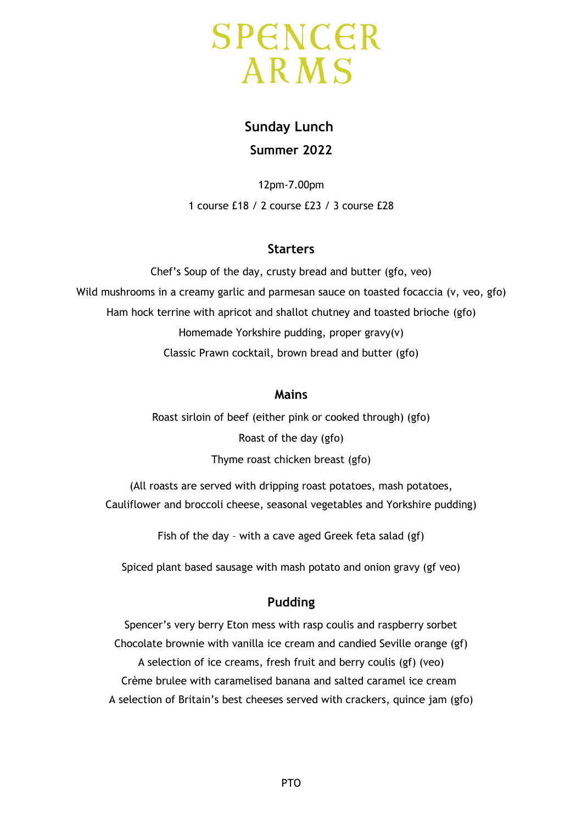

# **Sunday Lunch Summer 2022**

12pm-7.00pm 1 course £18 / 2 course £23 / 3 course £28

# **Starters**

Chef's Soup of the day, crusty bread and butter (gfo, veo) Wild mushrooms in a creamy garlic and parmesan sauce on toasted focaccia (v, veo, gfo) Ham hock terrine with apricot and shallot chutney and toasted brioche (gfo) Homemade Yorkshire pudding, proper gravy(v) Classic Prawn cocktail, brown bread and butter (gfo)

# **Mains**

Roast sirloin of beef (either pink or cooked through) (gfo) Roast of the day (gfo) Thyme roast chicken breast (gfo)

(All roasts are served with dripping roast potatoes, mash potatoes, Cauliflower and broccoli cheese, seasonal vegetables and Yorkshire pudding)

Fish of the day – with a cave aged Greek feta salad (gf)

Spiced plant based sausage with mash potato and onion gravy (gf veo)

# **Pudding**

Spencer's very berry Eton mess with rasp coulis and raspberry sorbet Chocolate brownie with vanilla ice cream and candied Seville orange (gf) A selection of ice creams, fresh fruit and berry coulis (gf) (veo) Crème brulee with caramelised banana and salted caramel ice cream A selection of Britain's best cheeses served with crackers, quince jam (gfo)